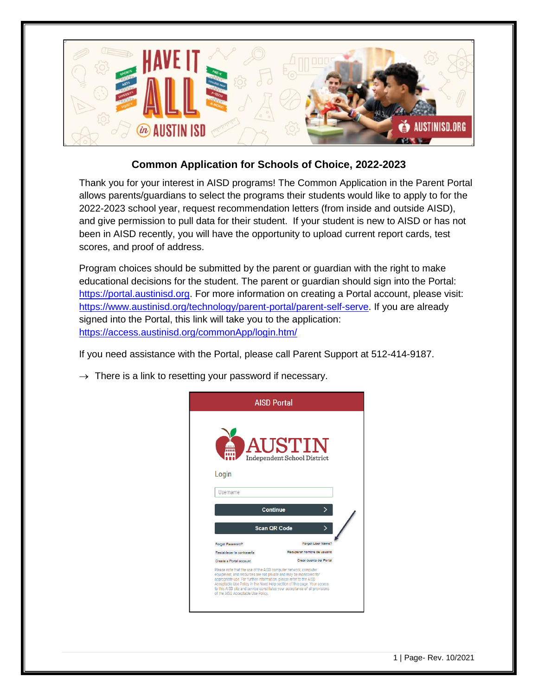

## **Common Application for Schools of Choice, 2022-2023**

Thank you for your interest in AISD programs! The Common Application in the Parent Portal allows parents/guardians to select the programs their students would like to apply to for the 2022-2023 school year, request recommendation letters (from inside and outside AISD), and give permission to pull data for their student. If your student is new to AISD or has not been in AISD recently, you will have the opportunity to upload current report cards, test scores, and proof of address.

Program choices should be submitted by the parent or guardian with the right to make educational decisions for the student. The parent or guardian should sign into the Portal: [https://portal.austinisd.org.](https://portal.austinisd.org/) For more information on creating a Portal account, please visit: [https://www.austinisd.org/technology/parent-portal/parent-self-serve.](https://www.austinisd.org/technology/parent-portal/parent-self-serve) If you are already signed into the Portal, this link will take you to the application: <https://access.austinisd.org/commonApp/login.htm/>

If you need assistance with the Portal, please call Parent Support at 512-414-9187.

 $\rightarrow$  There is a link to resetting your password if necessary.

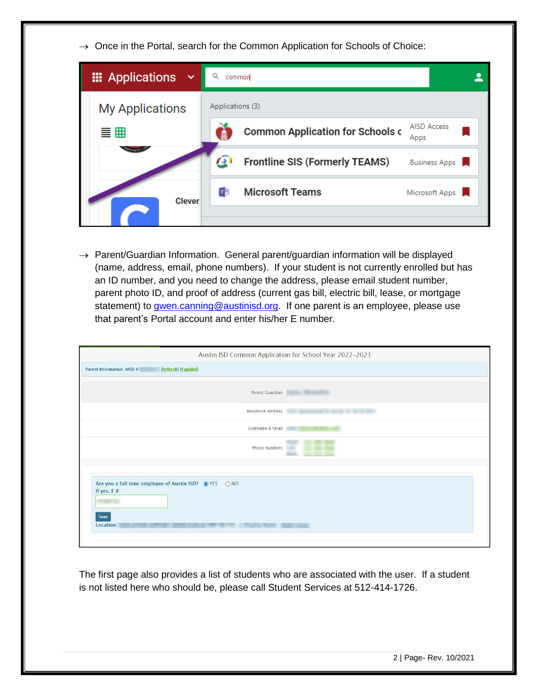$\rightarrow$  Once in the Portal, search for the Common Application for Schools of Choice:

| <b>III</b> Applications<br>$\checkmark$ | common                                                             |  |
|-----------------------------------------|--------------------------------------------------------------------|--|
| <b>My Applications</b>                  | Applications (3)                                                   |  |
| 言冊                                      | AISD Access<br><b>Common Application for Schools c</b><br>Apps     |  |
|                                         | $\sigma$<br><b>Frontline SIS (Formerly TEAMS)</b><br>Business Apps |  |
| <b>Clever</b>                           | <b>Microsoft Teams</b><br>пB<br>Microsoft Apps                     |  |
|                                         |                                                                    |  |

 $\rightarrow$  Parent/Guardian Information. General parent/guardian information will be displayed (name, address, email, phone numbers). If your student is not currently enrolled but has an ID number, and you need to change the address, please email student number, parent photo ID, and proof of address (current gas bill, electric bill, lease, or mortgage statement) to [gwen.canning@austinisd.org.](mailto:gwen.canning@austinisd.org) If one parent is an employee, please use that parent's Portal account and enter his/her E number.

|                                                                                    | Austin ISD Common Application for School Year 2022-2023 |  |  |
|------------------------------------------------------------------------------------|---------------------------------------------------------|--|--|
| <b>Parent Information: AISD #</b><br>[Refresh] [Español]                           |                                                         |  |  |
|                                                                                    |                                                         |  |  |
| Parent/Guardian                                                                    | <b>SELL BERGHAM</b>                                     |  |  |
| Residence Address                                                                  |                                                         |  |  |
| Username & Email                                                                   |                                                         |  |  |
| <b>Phone Numbers</b>                                                               |                                                         |  |  |
|                                                                                    |                                                         |  |  |
| Are you a full time employee of Austin ISD? ● YES ● ○ NO<br>If yes, $E#$ :<br>Save |                                                         |  |  |
| Location:                                                                          |                                                         |  |  |

The first page also provides a list of students who are associated with the user. If a student is not listed here who should be, please call Student Services at 512-414-1726.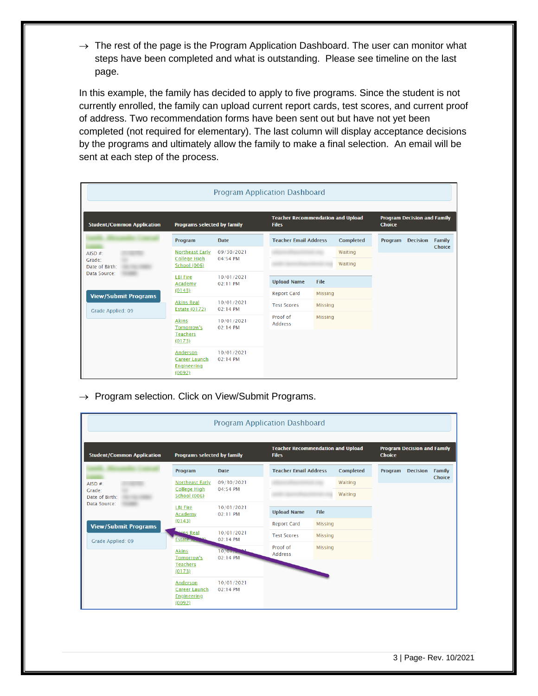$\rightarrow$  The rest of the page is the Program Application Dashboard. The user can monitor what steps have been completed and what is outstanding. Please see timeline on the last page.

In this example, the family has decided to apply to five programs. Since the student is not currently enrolled, the family can upload current report cards, test scores, and current proof of address. Two recommendation forms have been sent out but have not yet been completed (not required for elementary). The last column will display acceptance decisions by the programs and ultimately allow the family to make a final selection. An email will be sent at each step of the process.

|                                                                 |                                                           | <b>Program Application Dashboard</b> |                                                          |                |                  |               |                                    |        |
|-----------------------------------------------------------------|-----------------------------------------------------------|--------------------------------------|----------------------------------------------------------|----------------|------------------|---------------|------------------------------------|--------|
| <b>Student/Common Application</b>                               | Programs selected by family                               |                                      | <b>Teacher Recommendation and Upload</b><br><b>Files</b> |                |                  | <b>Choice</b> | <b>Program Decision and Family</b> |        |
|                                                                 | Program                                                   | <b>Date</b>                          | <b>Teacher Email Address</b>                             |                | <b>Completed</b> | Program       | <b>Decision</b>                    | Family |
| AISD $#$                                                        | <b>Northeast Early</b>                                    | 09/30/2021<br>04:54 PM               |                                                          |                | Waiting          |               |                                    | Choice |
| College High<br>Grade:<br><b>School (006)</b><br>Date of Birth: |                                                           |                                      |                                                          |                | Waiting          |               |                                    |        |
| Data Source:                                                    | <b>LBJ</b> Fire<br>Academy                                | 10/01/2021<br>02:11 PM               | <b>Upload Name</b>                                       | File           |                  |               |                                    |        |
| <b>View/Submit Programs</b>                                     | (0143)                                                    |                                      | <b>Report Card</b>                                       | <b>Missing</b> |                  |               |                                    |        |
| Grade Applied: 09                                               | <b>Akins Real</b><br><b>Estate (0172)</b>                 | 10/01/2021<br>02:14 PM               | <b>Test Scores</b>                                       | <b>Missing</b> |                  |               |                                    |        |
|                                                                 | <b>Akins</b><br>Tomorrow's                                | 10/01/2021<br>02:14 PM               | Proof of<br><b>Address</b>                               | <b>Missing</b> |                  |               |                                    |        |
|                                                                 | <b>Teachers</b><br>(0173)                                 |                                      |                                                          |                |                  |               |                                    |        |
|                                                                 | Anderson<br>Career Launch<br><b>Engineering</b><br>(0092) | 10/01/2021<br>02:14 PM               |                                                          |                |                  |               |                                    |        |

 $\rightarrow$  Program selection. Click on View/Submit Programs.

| <b>Program Application Dashboard</b> |                                                                  |                        |                                                          |                |                  |               |                                    |               |
|--------------------------------------|------------------------------------------------------------------|------------------------|----------------------------------------------------------|----------------|------------------|---------------|------------------------------------|---------------|
| <b>Student/Common Application</b>    | Programs selected by family                                      |                        | <b>Teacher Recommendation and Upload</b><br><b>Files</b> |                |                  | <b>Choice</b> | <b>Program Decision and Family</b> |               |
|                                      | Program                                                          | <b>Date</b>            | <b>Teacher Email Address</b>                             |                | <b>Completed</b> | Program       | <b>Decision</b>                    | <b>Family</b> |
| AISD $#$ :                           | <b>Northeast Early</b>                                           | 09/30/2021<br>04:54 PM |                                                          |                | Waiting          |               |                                    | Choice        |
| Date of Birth:                       | College High<br>Grade <sup>-</sup><br><b>School (006)</b>        |                        |                                                          |                | Waiting          |               |                                    |               |
| Data Source:                         | <b>LBI Fire</b><br>Academy                                       | 10/01/2021<br>02:11 PM | <b>Upload Name</b>                                       | File           |                  |               |                                    |               |
| <b>View/Submit Programs</b>          | (0143)                                                           |                        | <b>Report Card</b>                                       | <b>Missing</b> |                  |               |                                    |               |
| Grade Applied: 09                    | <b>Hins Real</b><br><b>Estate</b> to                             | 10/01/2021<br>02:14 PM | <b>Test Scores</b>                                       | <b>Missing</b> |                  |               |                                    |               |
|                                      | <b>Akins</b>                                                     | 10/017                 | Proof of<br><b>Address</b>                               | <b>Missing</b> |                  |               |                                    |               |
|                                      | Tomorrow's<br><b>Teachers</b><br>(0173)                          | 02:14 PM               |                                                          |                |                  |               |                                    |               |
|                                      | Anderson<br><b>Career Launch</b><br><b>Engineering</b><br>(0092) | 10/01/2021<br>02:14 PM |                                                          |                |                  |               |                                    |               |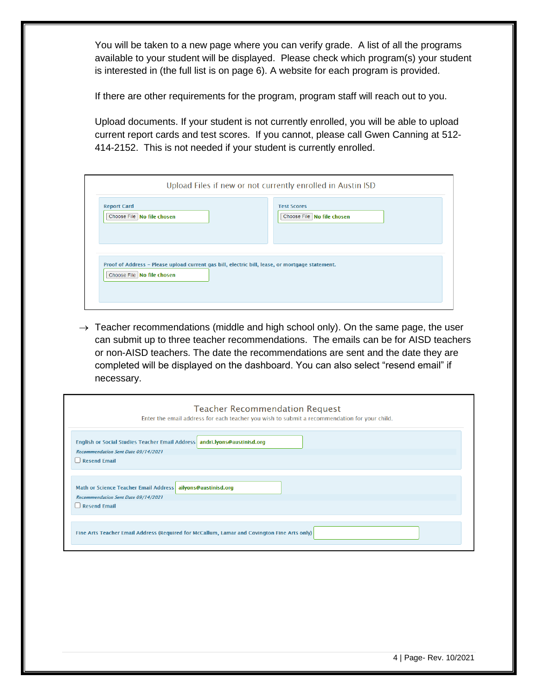You will be taken to a new page where you can verify grade. A list of all the programs available to your student will be displayed. Please check which program(s) your student is interested in (the full list is on page 6). A website for each program is provided.

If there are other requirements for the program, program staff will reach out to you.

Upload documents. If your student is not currently enrolled, you will be able to upload current report cards and test scores. If you cannot, please call Gwen Canning at 512- 414-2152. This is not needed if your student is currently enrolled.

|                                                                                                                                 | Upload Files if new or not currently enrolled in Austin ISD |
|---------------------------------------------------------------------------------------------------------------------------------|-------------------------------------------------------------|
| <b>Report Card</b><br>Choose File   No file chosen                                                                              | <b>Test Scores</b><br>Choose File   No file chosen          |
| Proof of Address - Please upload current gas bill, electric bill, lease, or mortgage statement.<br>Choose File   No file chosen |                                                             |

 $\rightarrow$  Teacher recommendations (middle and high school only). On the same page, the user can submit up to three teacher recommendations. The emails can be for AISD teachers or non-AISD teachers. The date the recommendations are sent and the date they are completed will be displayed on the dashboard. You can also select "resend email" if necessary.

| <b>Teacher Recommendation Request</b><br>Enter the email address for each teacher you wish to submit a recommendation for your child.          |  |  |
|------------------------------------------------------------------------------------------------------------------------------------------------|--|--|
| English or Social Studies Teacher Email Address andri.lyons@austinisd.org<br><b>Recommendation Sent Date 09/14/2021</b><br><b>Resend Email</b> |  |  |
| Math or Science Teacher Email Address ailyons@austinisd.org<br><b>Recommendation Sent Date 09/14/2021</b><br><b>Resend Email</b>               |  |  |
| Fine Arts Teacher Email Address (Required for McCallum, Lamar and Covington Fine Arts only)                                                    |  |  |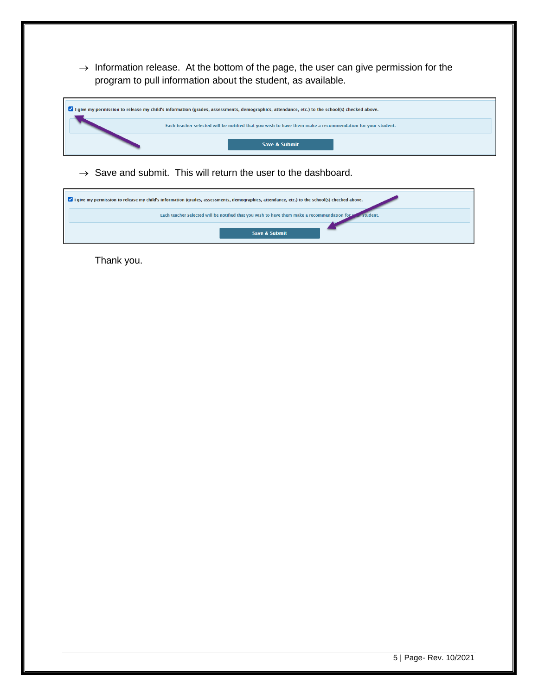$\rightarrow$  Information release. At the bottom of the page, the user can give permission for the program to pull information about the student, as available.

| I give my permission to release my child's information (grades, assessments, demographics, attendance, etc.) to the school(s) checked above. |                          |  |
|----------------------------------------------------------------------------------------------------------------------------------------------|--------------------------|--|
| Each teacher selected will be notified that you wish to have them make a recommendation for your student.                                    |                          |  |
|                                                                                                                                              | <b>Save &amp; Submit</b> |  |

 $\rightarrow$  Save and submit. This will return the user to the dashboard.

| I give my permission to release my child's information (grades, assessments, demographics, attendance, etc.) to the school(s) checked above. |
|----------------------------------------------------------------------------------------------------------------------------------------------|
| Each teacher selected will be notified that you wish to have them make a recommendation for your student.                                    |
| Save & Submit                                                                                                                                |

Thank you.